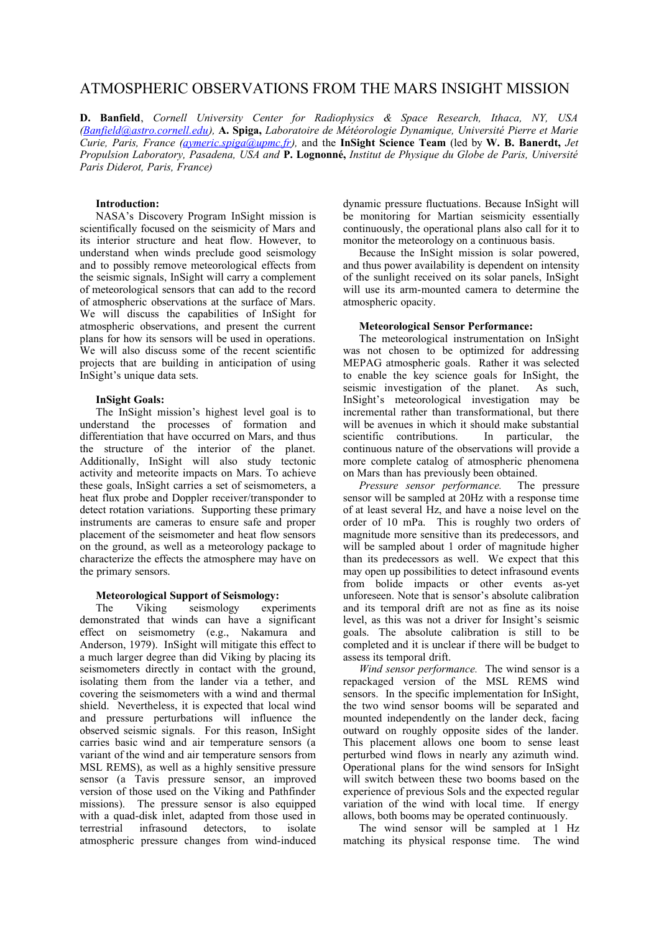# ATMOSPHERIC OBSERVATIONS FROM THE MARS INSIGHT MISSION

**D. Banfield**, *Cornell University Center for Radiophysics & Space Research, Ithaca, NY, USA [\(Banfield@astro.cornell.edu\)](mailto:Banfield@astro.cornell.edu),* **A. Spiga,** *Laboratoire de Météorologie Dynamique, Université Pierre et Marie Curie, Paris, France [\(aymeric.spiga@upmc.fr\)](mailto:aymeric.spiga@upmc.fr),* and the **InSight Science Team** (led by **W. B. Banerdt,** *Jet Propulsion Laboratory, Pasadena, USA and* **P. Lognonné,** *Institut de Physique du Globe de Paris, Université Paris Diderot, Paris, France)*

### **Introduction:**

NASA's Discovery Program InSight mission is scientifically focused on the seismicity of Mars and its interior structure and heat flow. However, to understand when winds preclude good seismology and to possibly remove meteorological effects from the seismic signals, InSight will carry a complement of meteorological sensors that can add to the record of atmospheric observations at the surface of Mars. We will discuss the capabilities of InSight for atmospheric observations, and present the current plans for how its sensors will be used in operations. We will also discuss some of the recent scientific projects that are building in anticipation of using InSight's unique data sets.

#### **InSight Goals:**

The InSight mission's highest level goal is to understand the processes of formation and differentiation that have occurred on Mars, and thus the structure of the interior of the planet. Additionally, InSight will also study tectonic activity and meteorite impacts on Mars. To achieve these goals, InSight carries a set of seismometers, a heat flux probe and Doppler receiver/transponder to detect rotation variations. Supporting these primary instruments are cameras to ensure safe and proper placement of the seismometer and heat flow sensors on the ground, as well as a meteorology package to characterize the effects the atmosphere may have on the primary sensors.

# **Meteorological Support of Seismology:**

The Viking seismology experiments demonstrated that winds can have a significant effect on seismometry (e.g., Nakamura and Anderson, 1979). InSight will mitigate this effect to a much larger degree than did Viking by placing its seismometers directly in contact with the ground, isolating them from the lander via a tether, and covering the seismometers with a wind and thermal shield. Nevertheless, it is expected that local wind and pressure perturbations will influence the observed seismic signals. For this reason, InSight carries basic wind and air temperature sensors (a variant of the wind and air temperature sensors from MSL REMS), as well as a highly sensitive pressure sensor (a Tavis pressure sensor, an improved version of those used on the Viking and Pathfinder missions). The pressure sensor is also equipped with a quad-disk inlet, adapted from those used in terrestrial infrasound detectors, to isolate atmospheric pressure changes from wind-induced dynamic pressure fluctuations. Because InSight will be monitoring for Martian seismicity essentially continuously, the operational plans also call for it to monitor the meteorology on a continuous basis.

Because the InSight mission is solar powered, and thus power availability is dependent on intensity of the sunlight received on its solar panels, InSight will use its arm-mounted camera to determine the atmospheric opacity.

#### **Meteorological Sensor Performance:**

The meteorological instrumentation on InSight was not chosen to be optimized for addressing MEPAG atmospheric goals. Rather it was selected to enable the key science goals for InSight, the seismic investigation of the planet. As such, InSight's meteorological investigation may be incremental rather than transformational, but there will be avenues in which it should make substantial scientific contributions. In particular, the continuous nature of the observations will provide a more complete catalog of atmospheric phenomena on Mars than has previously been obtained.

*Pressure sensor performance.* The pressure sensor will be sampled at 20Hz with a response time of at least several Hz, and have a noise level on the order of 10 mPa. This is roughly two orders of magnitude more sensitive than its predecessors, and will be sampled about 1 order of magnitude higher than its predecessors as well. We expect that this may open up possibilities to detect infrasound events from bolide impacts or other events as-yet unforeseen. Note that is sensor's absolute calibration and its temporal drift are not as fine as its noise level, as this was not a driver for Insight's seismic goals. The absolute calibration is still to be completed and it is unclear if there will be budget to assess its temporal drift.

*Wind sensor performance.* The wind sensor is a repackaged version of the MSL REMS wind sensors. In the specific implementation for InSight, the two wind sensor booms will be separated and mounted independently on the lander deck, facing outward on roughly opposite sides of the lander. This placement allows one boom to sense least perturbed wind flows in nearly any azimuth wind. Operational plans for the wind sensors for InSight will switch between these two booms based on the experience of previous Sols and the expected regular variation of the wind with local time. If energy allows, both booms may be operated continuously.

The wind sensor will be sampled at 1 Hz matching its physical response time. The wind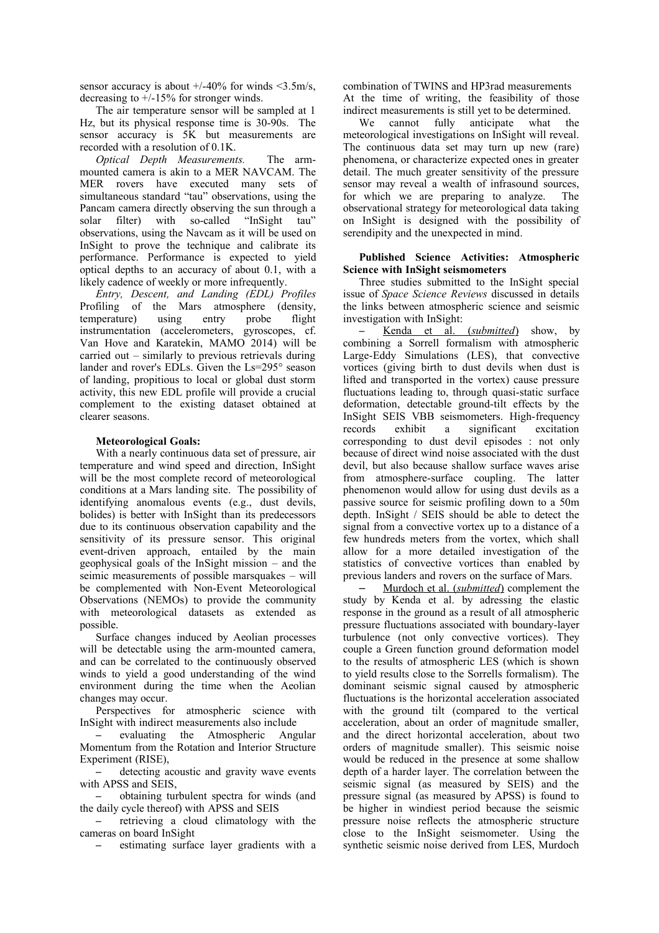sensor accuracy is about  $+/-40\%$  for winds  $\leq$ 3.5m/s, decreasing to  $+/-15%$  for stronger winds.

The air temperature sensor will be sampled at 1 Hz, but its physical response time is 30-90s. The sensor accuracy is 5K but measurements are recorded with a resolution of 0.1K.

*Optical Depth Measurements.* The armmounted camera is akin to a MER NAVCAM. The MER rovers have executed many sets of simultaneous standard "tau" observations, using the Pancam camera directly observing the sun through a solar filter) with so-called "InSight tau" observations, using the Navcam as it will be used on InSight to prove the technique and calibrate its performance. Performance is expected to yield optical depths to an accuracy of about 0.1, with a likely cadence of weekly or more infrequently.

*Entry, Descent, and Landing (EDL) Profiles* Profiling of the Mars atmosphere (density, temperature) using entry probe flight instrumentation (accelerometers, gyroscopes, cf. Van Hove and Karatekin, MAMO 2014) will be carried out – similarly to previous retrievals during lander and rover's EDLs. Given the Ls=295° season of landing, propitious to local or global dust storm activity, this new EDL profile will provide a crucial complement to the existing dataset obtained at clearer seasons.

#### **Meteorological Goals:**

With a nearly continuous data set of pressure, air temperature and wind speed and direction, InSight will be the most complete record of meteorological conditions at a Mars landing site. The possibility of identifying anomalous events (e.g., dust devils, bolides) is better with InSight than its predecessors due to its continuous observation capability and the sensitivity of its pressure sensor. This original event-driven approach, entailed by the main geophysical goals of the InSight mission – and the seimic measurements of possible marsquakes – will be complemented with Non-Event Meteorological Observations (NEMOs) to provide the community with meteorological datasets as extended as possible.

Surface changes induced by Aeolian processes will be detectable using the arm-mounted camera, and can be correlated to the continuously observed winds to yield a good understanding of the wind environment during the time when the Aeolian changes may occur.

Perspectives for atmospheric science with InSight with indirect measurements also include

– evaluating the Atmospheric Angular Momentum from the Rotation and Interior Structure Experiment (RISE),

– detecting acoustic and gravity wave events with APSS and SEIS,

– obtaining turbulent spectra for winds (and the daily cycle thereof) with APSS and SEIS

– retrieving a cloud climatology with the cameras on board InSight

– estimating surface layer gradients with a

combination of TWINS and HP3rad measurements At the time of writing, the feasibility of those indirect measurements is still yet to be determined.

We cannot fully anticipate what the meteorological investigations on InSight will reveal. The continuous data set may turn up new (rare) phenomena, or characterize expected ones in greater detail. The much greater sensitivity of the pressure sensor may reveal a wealth of infrasound sources, for which we are preparing to analyze. The observational strategy for meteorological data taking on InSight is designed with the possibility of serendipity and the unexpected in mind.

#### **Published Science Activities: Atmospheric Science with InSight seismometers**

Three studies submitted to the InSight special issue of *Space Science Reviews* discussed in details the links between atmospheric science and seismic investigation with InSight:

Kenda et al. (*submitted*) show, by combining a Sorrell formalism with atmospheric Large-Eddy Simulations (LES), that convective vortices (giving birth to dust devils when dust is lifted and transported in the vortex) cause pressure fluctuations leading to, through quasi-static surface deformation, detectable ground-tilt effects by the InSight SEIS VBB seismometers. High-frequency records exhibit a significant excitation corresponding to dust devil episodes : not only because of direct wind noise associated with the dust devil, but also because shallow surface waves arise from atmosphere-surface coupling. The latter phenomenon would allow for using dust devils as a passive source for seismic profiling down to a 50m depth. InSight / SEIS should be able to detect the signal from a convective vortex up to a distance of a few hundreds meters from the vortex, which shall allow for a more detailed investigation of the statistics of convective vortices than enabled by previous landers and rovers on the surface of Mars.

– Murdoch et al. ( *submitted* ) complement the study by Kenda et al. by adressing the elastic response in the ground as a result of all atmospheric pressure fluctuations associated with boundary-layer turbulence (not only convective vortices). They couple a Green function ground deformation model to the results of atmospheric LES (which is shown to yield results close to the Sorrells formalism). The dominant seismic signal caused by atmospheric fluctuations is the horizontal acceleration associated with the ground tilt (compared to the vertical acceleration, about an order of magnitude smaller, and the direct horizontal acceleration, about two orders of magnitude smaller). This seismic noise would be reduced in the presence at some shallow depth of a harder layer. The correlation between the seismic signal (as measured by SEIS) and the pressure signal (as measured by APSS) is found to be higher in windiest period because the seismic pressure noise reflects the atmospheric structure close to the InSight seismometer. Using the synthetic seismic noise derived from LES, Murdoch